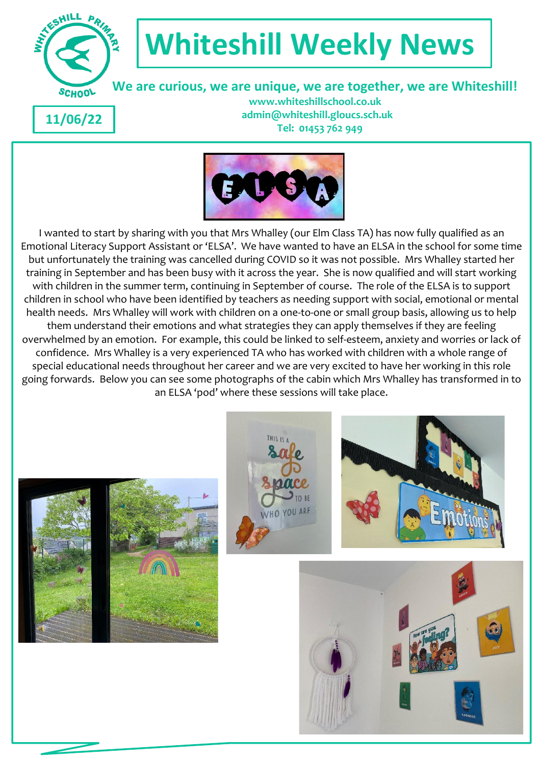

# **Whiteshill Weekly News**

 **We are curious, we are unique, we are together, we are Whiteshill!**

**11/06/22**

 **www.whiteshillschool.co.uk admin@whiteshill.gloucs.sch.uk Tel: 01453 762 949**



I wanted to start by sharing with you that Mrs Whalley (our Elm Class TA) has now fully qualified as an Emotional Literacy Support Assistant or 'ELSA'. We have wanted to have an ELSA in the school for some time but unfortunately the training was cancelled during COVID so it was not possible. Mrs Whalley started her training in September and has been busy with it across the year. She is now qualified and will start working with children in the summer term, continuing in September of course. The role of the ELSA is to support children in school who have been identified by teachers as needing support with social, emotional or mental health needs. Mrs Whalley will work with children on a one-to-one or small group basis, allowing us to help them understand their emotions and what strategies they can apply themselves if they are feeling overwhelmed by an emotion. For example, this could be linked to self-esteem, anxiety and worries or lack of confidence. Mrs Whalley is a very experienced TA who has worked with children with a whole range of special educational needs throughout her career and we are very excited to have her working in this role going forwards. Below you can see some photographs of the cabin which Mrs Whalley has transformed in to an ELSA 'pod' where these sessions will take place.







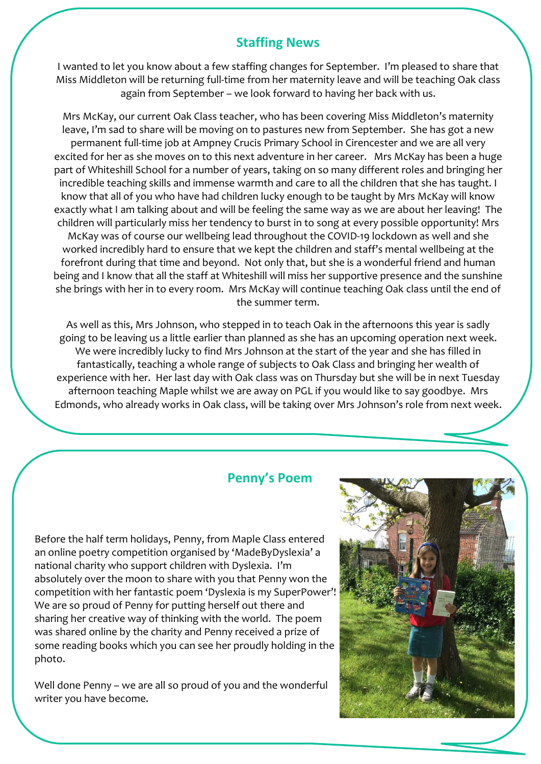### **Staffing News**

I wanted to let you know about a few staffing changes for September. I'm pleased to share that Miss Middleton will be returning full-time from her maternity leave and will be teaching Oak class again from September – we look forward to having her back with us.

Mrs McKay, our current Oak Class teacher, who has been covering Miss Middleton's maternity leave, I'm sad to share will be moving on to pastures new from September. She has got a new permanent full-time job at Ampney Crucis Primary School in Cirencester and we are all very excited for her as she moves on to this next adventure in her career. Mrs McKay has been a huge part of Whiteshill School for a number of years, taking on so many different roles and bringing her incredible teaching skills and immense warmth and care to all the children that she has taught. I know that all of you who have had children lucky enough to be taught by Mrs McKay will know exactly what I am talking about and will be feeling the same way as we are about her leaving! The children will particularly miss her tendency to burst in to song at every possible opportunity! Mrs McKay was of course our wellbeing lead throughout the COVID-19 lockdown as well and she worked incredibly hard to ensure that we kept the children and staff's mental wellbeing at the forefront during that time and beyond. Not only that, but she is a wonderful friend and human being and I know that all the staff at Whiteshill will miss her supportive presence and the sunshine she brings with her in to every room. Mrs McKay will continue teaching Oak class until the end of the summer term.

As well as this, Mrs Johnson, who stepped in to teach Oak in the afternoons this year is sadly going to be leaving us a little earlier than planned as she has an upcoming operation next week. We were incredibly lucky to find Mrs Johnson at the start of the year and she has filled in fantastically, teaching a whole range of subjects to Oak Class and bringing her wealth of experience with her. Her last day with Oak class was on Thursday but she will be in next Tuesday afternoon teaching Maple whilst we are away on PGL if you would like to say goodbye. Mrs Edmonds, who already works in Oak class, will be taking over Mrs Johnson's role from next week.

#### **Penny's Poem**

Before the half term holidays, Penny, from Maple Class entered an online poetry competition organised by 'MadeByDyslexia' a national charity who support children with Dyslexia. I'm absolutely over the moon to share with you that Penny won the competition with her fantastic poem 'Dyslexia is my SuperPower'! We are so proud of Penny for putting herself out there and sharing her creative way of thinking with the world. The poem was shared online by the charity and Penny received a prize of some reading books which you can see her proudly holding in the photo.

Well done Penny – we are all so proud of you and the wonderful writer you have become.

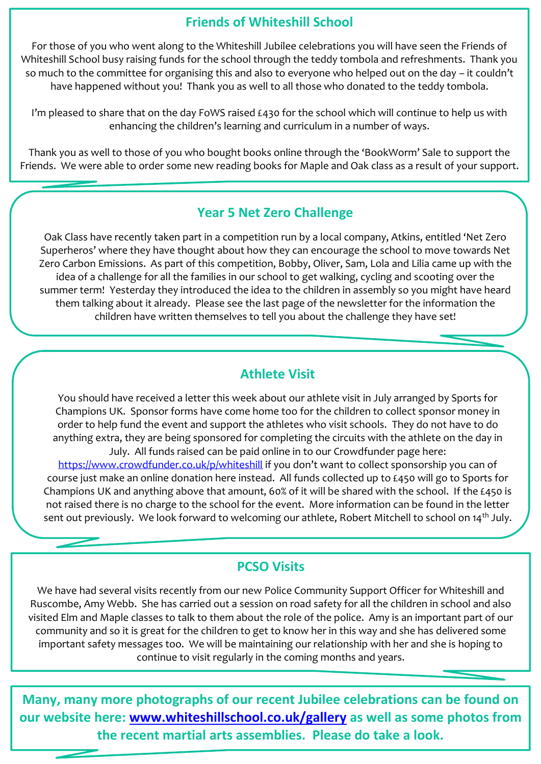# **Friends of Whiteshill School**

For those of you who went along to the Whiteshill Jubilee celebrations you will have seen the Friends of Whiteshill School busy raising funds for the school through the teddy tombola and refreshments. Thank you so much to the committee for organising this and also to everyone who helped out on the day – it couldn't have happened without you! Thank you as well to all those who donated to the teddy tombola.

I'm pleased to share that on the day FoWS raised £430 for the school which will continue to help us with enhancing the children's learning and curriculum in a number of ways.

Thank you as well to those of you who bought books online through the 'BookWorm' Sale to support the Friends. We were able to order some new reading books for Maple and Oak class as a result of your support.

# **Year 5 Net Zero Challenge**

Oak Class have recently taken part in a competition run by a local company, Atkins, entitled 'Net Zero Superheros' where they have thought about how they can encourage the school to move towards Net Zero Carbon Emissions. As part of this competition, Bobby, Oliver, Sam, Lola and Lilia came up with the idea of a challenge for all the families in our school to get walking, cycling and scooting over the summer term! Yesterday they introduced the idea to the children in assembly so you might have heard them talking about it already. Please see the last page of the newsletter for the information the children have written themselves to tell you about the challenge they have set!

# **Athlete Visit**

You should have received a letter this week about our athlete visit in July arranged by Sports for Champions UK. Sponsor forms have come home too for the children to collect sponsor money in order to help fund the event and support the athletes who visit schools. They do not have to do anything extra, they are being sponsored for completing the circuits with the athlete on the day in July. All funds raised can be paid online in to our Crowdfunder page here: <https://www.crowdfunder.co.uk/p/whiteshill> if you don't want to collect sponsorship you can of

course just make an online donation here instead. All funds collected up to £450 will go to Sports for Champions UK and anything above that amount, 60% of it will be shared with the school. If the £450 is not raised there is no charge to the school for the event. More information can be found in the letter sent out previously. We look forward to welcoming our athlete, Robert Mitchell to school on 14<sup>th</sup> July.

# **PCSO Visits**

We have had several visits recently from our new Police Community Support Officer for Whiteshill and Ruscombe, Amy Webb. She has carried out a session on road safety for all the children in school and also visited Elm and Maple classes to talk to them about the role of the police. Amy is an important part of our community and so it is great for the children to get to know her in this way and she has delivered some important safety messages too. We will be maintaining our relationship with her and she is hoping to continue to visit regularly in the coming months and years.

**Many, many more photographs of our recent Jubilee celebrations can be found on our website here: [www.whiteshillschool.co.uk/gallery](http://www.whiteshillschool.co.uk/gallery) as well as some photos from the recent martial arts assemblies. Please do take a look.**